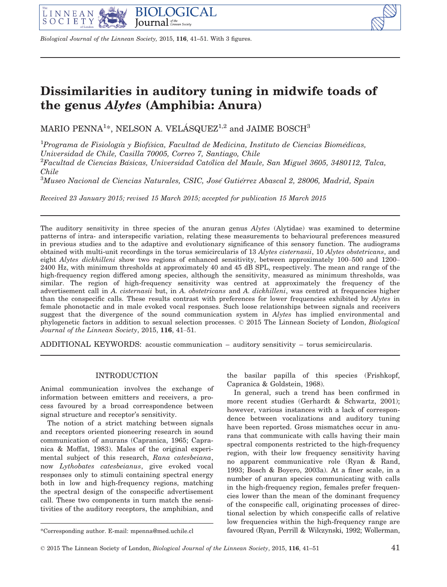

Biological Journal of the Linnean Society, 2015, 116, 41–51. With 3 figures.

# Dissimilarities in auditory tuning in midwife toads of the genus Alytes (Amphibia: Anura)

MARIO PENNA $^{1\ast}$ , NELSON A. VELÁSQUEZ $^{1,2}$  and JAIME BOSCH $^3$ 

<sup>1</sup>Programa de Fisiología y Biofísica, Facultad de Medicina, Instituto de Ciencias Biomédicas, Universidad de Chile, Casilla 70005, Correo 7, Santiago, Chile

 $^{2}$ Facultad de Ciencias Básicas, Universidad Católica del Maule, San Miguel 3605, 3480112, Talca, Chile

 $^3\!M$ useo Nacional de Ciencias Naturales, CSIC, José Gutiérrez Abascal 2, 28006, Madrid, Spain

Received 23 January 2015; revised 15 March 2015; accepted for publication 15 March 2015

The auditory sensitivity in three species of the anuran genus Alytes (Alytidae) was examined to determine patterns of intra- and interspecific variation, relating these measurements to behavioural preferences measured in previous studies and to the adaptive and evolutionary significance of this sensory function. The audiograms obtained with multi-unit recordings in the torus semicircularis of 13 Alytes cisternasii, 10 Alytes obstetricans, and eight Alytes dickhilleni show two regions of enhanced sensitivity, between approximately 100–500 and 1200– 2400 Hz, with minimum thresholds at approximately 40 and 45 dB SPL, respectively. The mean and range of the high-frequency region differed among species, although the sensitivity, measured as minimum thresholds, was similar. The region of high-frequency sensitivity was centred at approximately the frequency of the advertisement call in A. *cisternasii* but, in A. *obstetricans* and A. *dickhilleni*, was centred at frequencies higher than the conspecific calls. These results contrast with preferences for lower frequencies exhibited by Alytes in female phonotactic and in male evoked vocal responses. Such loose relationships between signals and receivers suggest that the divergence of the sound communication system in Alytes has implied environmental and phylogenetic factors in addition to sexual selection processes. © 2015 The Linnean Society of London, Biological Journal of the Linnean Society, 2015, 116, 41–51.

ADDITIONAL KEYWORDS: acoustic communication – auditory sensitivity – torus semicircularis.

## INTRODUCTION

Animal communication involves the exchange of information between emitters and receivers, a process favoured by a broad correspondence between signal structure and receptor's sensitivity.

The notion of a strict matching between signals and receptors oriented pioneering research in sound communication of anurans (Capranica, 1965; Capranica & Moffat, 1983). Males of the original experimental subject of this research, Rana catesbeiana, now Lythobates catesbeianus, give evoked vocal responses only to stimuli containing spectral energy both in low and high-frequency regions, matching the spectral design of the conspecific advertisement call. These two components in turn match the sensitivities of the auditory receptors, the amphibian, and the basilar papilla of this species (Frishkopf, Capranica & Goldstein, 1968).

In general, such a trend has been confirmed in more recent studies (Gerhardt & Schwartz, 2001); however, various instances with a lack of correspondence between vocalizations and auditory tuning have been reported. Gross mismatches occur in anurans that communicate with calls having their main spectral components restricted to the high-frequency region, with their low frequency sensitivity having no apparent communicative role (Ryan & Rand, 1993; Bosch & Boyero, 2003a). At a finer scale, in a number of anuran species communicating with calls in the high-frequency region, females prefer frequencies lower than the mean of the dominant frequency of the conspecific call, originating processes of directional selection by which conspecific calls of relative low frequencies within the high-frequency range are \*Corresponding author. E-mail: mpenna@med.uchile.cl favoured (Ryan, Perrill & Wilczynski, 1992; Wollerman,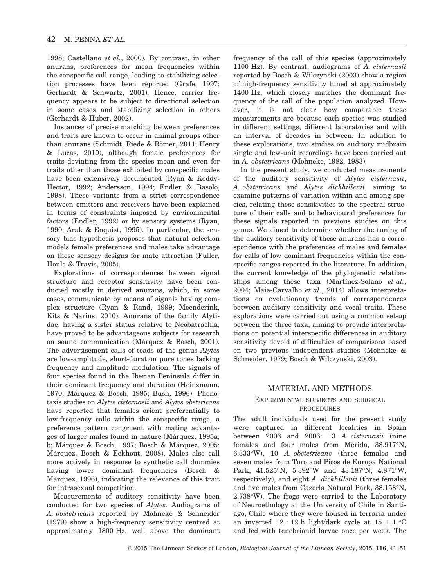1998; Castellano et al., 2000). By contrast, in other anurans, preferences for mean frequencies within the conspecific call range, leading to stabilizing selection processes have been reported (Grafe, 1997; Gerhardt & Schwartz, 2001). Hence, carrier frequency appears to be subject to directional selection in some cases and stabilizing selection in others (Gerhardt & Huber, 2002).

Instances of precise matching between preferences and traits are known to occur in animal groups other than anurans (Schmidt, Riede & Römer, 2011; Henry & Lucas, 2010), although female preferences for traits deviating from the species mean and even for traits other than those exhibited by conspecific males have been extensively documented (Ryan & Keddy-Hector, 1992; Andersson, 1994; Endler & Basolo, 1998). These variants from a strict correspondence between emitters and receivers have been explained in terms of constraints imposed by environmental factors (Endler, 1992) or by sensory systems (Ryan, 1990; Arak & Enquist, 1995). In particular, the sensory bias hypothesis proposes that natural selection models female preferences and males take advantage on these sensory designs for mate attraction (Fuller, Houle & Travis, 2005).

Explorations of correspondences between signal structure and receptor sensitivity have been conducted mostly in derived anurans, which, in some cases, communicate by means of signals having complex structure (Ryan & Rand, 1999; Meenderink, Kits & Narins, 2010). Anurans of the family Alytidae, having a sister status relative to Neobatrachia, have proved to be advantageous subjects for research on sound communication (Marquez & Bosch, 2001). The advertisement calls of toads of the genus Alytes are low-amplitude, short-duration pure tones lacking frequency and amplitude modulation. The signals of four species found in the Iberian Peninsula differ in their dominant frequency and duration (Heinzmann, 1970; Marquez & Bosch, 1995; Bush, 1996). Phono taxis studies on Alytes cisternasii and Alytes obstericans have reported that females orient preferentially to low-frequency calls within the conspecific range, a preference pattern congruent with mating advantages of larger males found in nature (Márquez, 1995a, b; Márquez & Bosch, 1997; Bosch & Márquez, 2005; Márquez, Bosch & Eekhout, 2008). Males also call more actively in response to synthetic call dummies having lower dominant frequencies (Bosch & Márquez, 1996), indicating the relevance of this trait for intrasexual competition.

Measurements of auditory sensitivity have been conducted for two species of Alytes. Audiograms of A. obstetricans reported by Mohneke & Schneider (1979) show a high-frequency sensitivity centred at approximately 1800 Hz, well above the dominant frequency of the call of this species (approximately 1100 Hz). By contrast, audiograms of A. cisternasii reported by Bosch & Wilczynski (2003) show a region of high-frequency sensitivity tuned at approximately 1400 Hz, which closely matches the dominant frequency of the call of the population analyzed. However, it is not clear how comparable these measurements are because each species was studied in different settings, different laboratories and with an interval of decades in between. In addition to these explorations, two studies on auditory midbrain single and few-unit recordings have been carried out in A. obstetricans (Mohneke, 1982, 1983).

In the present study, we conducted measurements of the auditory sensitivity of Alytes cisternasii, A. obstetricans and Alytes dickhillenii, aiming to examine patterns of variation within and among species, relating these sensitivities to the spectral structure of their calls and to behavioural preferences for these signals reported in previous studies on this genus. We aimed to determine whether the tuning of the auditory sensitivity of these anurans has a correspondence with the preferences of males and females for calls of low dominant frequencies within the conspecific ranges reported in the literature. In addition, the current knowledge of the phylogenetic relationships among these taxa (Martínez-Solano et  $al$ ., 2004; Maia-Carvalho et al., 2014) allows interpretations on evolutionary trends of correspondences between auditory sensitivity and vocal traits. These explorations were carried out using a common set-up between the three taxa, aiming to provide interpretations on potential interspecific differences in auditory sensitivity devoid of difficulties of comparisons based on two previous independent studies (Mohneke & Schneider, 1979; Bosch & Wilczynski, 2003).

#### MATERIAL AND METHODS

# EXPERIMENTAL SUBJECTS AND SURGICAL PROCEDURES

The adult individuals used for the present study were captured in different localities in Spain between 2003 and 2006: 13 A. cisternasii (nine females and four males from Mérida, 38.917°N, 6.333°W), 10 A. obstetricans (three females and seven males from Toro and Picos de Europa National Park, 41.525°N, 5.392°W and 43.187°N, 4.871°W, respectively), and eight A. dickhillenii (three females and five males from Cazorla Natural Park, 38.158°N, 2.738°W). The frogs were carried to the Laboratory of Neuroethology at the University of Chile in Santiago, Chile where they were housed in terraria under an inverted 12 : 12 h light/dark cycle at  $15 \pm 1$  °C and fed with tenebrionid larvae once per week. The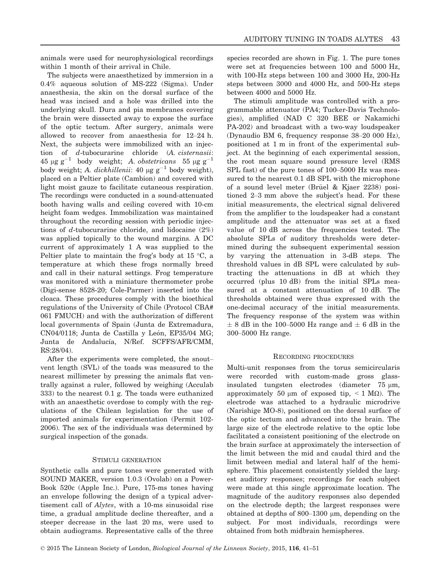animals were used for neurophysiological recordings within 1 month of their arrival in Chile.

The subjects were anaesthetized by immersion in a 0.4% aqueous solution of MS-222 (Sigma). Under anaesthesia, the skin on the dorsal surface of the head was incised and a hole was drilled into the underlying skull. Dura and pia membranes covering the brain were dissected away to expose the surface of the optic tectum. After surgery, animals were allowed to recover from anaesthesia for 12–24 h. Next, the subjects were immobilized with an injection of d-tubocurarine chloride (A. cisternasii:  $45 \mu g g^{-1}$  body weight; A. obstetricans  $55 \mu g g^{-1}$ body weight; A. dickhillenii: 40  $\mu$ g g<sup>-1</sup> body weight), placed on a Peltier plate (Cambion) and covered with light moist gauze to facilitate cutaneous respiration. The recordings were conducted in a sound-attenuated booth having walls and ceiling covered with 10-cm height foam wedges. Immobilization was maintained throughout the recording session with periodic injections of d-tubocurarine chloride, and lidocaine (2%) was applied topically to the wound margins. A DC current of approximately 1 A was supplied to the Peltier plate to maintain the frog's body at 15 °C, a temperature at which these frogs normally breed and call in their natural settings. Frog temperature was monitored with a miniature thermometer probe (Digi-sense 8528-20; Cole-Parmer) inserted into the cloaca. These procedures comply with the bioethical regulations of the University of Chile (Protocol CBA# 061 FMUCH) and with the authorization of different local governments of Spain (Junta de Extremadura, CN04/0118; Junta de Castilla y León, EP35/04 MG; Junta de Andalucía, N/Ref. SCFFS/AFR/CMM, RS:28/04).

After the experiments were completed, the snout– vent length (SVL) of the toads was measured to the nearest millimeter by pressing the animals flat ventrally against a ruler, followed by weighing (Acculab 333) to the nearest 0.1 g. The toads were euthanized with an anaesthetic overdose to comply with the regulations of the Chilean legislation for the use of imported animals for experimentation (Permit 102- 2006). The sex of the individuals was determined by surgical inspection of the gonads.

#### STIMULI GENERATION

Synthetic calls and pure tones were generated with SOUND MAKER, version 1.0.3 (Ovolab) on a Power-Book 520c (Apple Inc.). Pure, 175-ms tones having an envelope following the design of a typical advertisement call of Alytes, with a 10-ms sinusoidal rise time, a gradual amplitude decline thereafter, and a steeper decrease in the last 20 ms, were used to obtain audiograms. Representative calls of the three species recorded are shown in Fig. 1. The pure tones were set at frequencies between 100 and 5000 Hz, with 100-Hz steps between 100 and 3000 Hz, 200-Hz steps between 3000 and 4000 Hz, and 500-Hz steps between 4000 and 5000 Hz.

The stimuli amplitude was controlled with a programmable attenuator (PA4; Tucker-Davis Technologies), amplified (NAD C 320 BEE or Nakamichi PA-202) and broadcast with a two-way loudspeaker (Dynaudio BM 6, frequency response 38–20 000 Hz), positioned at 1 m in front of the experimental subject. At the beginning of each experimental session, the root mean square sound pressure level (RMS SPL fast) of the pure tones of 100–5000 Hz was measured to the nearest 0.1 dB SPL with the microphone of a sound level meter (Brüel & Kjaer 2238) positioned 2–3 mm above the subject's head. For these initial measurements, the electrical signal delivered from the amplifier to the loudspeaker had a constant amplitude and the attenuator was set at a fixed value of 10 dB across the frequencies tested. The absolute SPLs of auditory thresholds were determined during the subsequent experimental session by varying the attenuation in 3-dB steps. The threshold values in dB SPL were calculated by subtracting the attenuations in dB at which they occurred (plus 10 dB) from the initial SPLs measured at a constant attenuation of 10 dB. The thresholds obtained were thus expressed with the one-decimal accuracy of the initial measurements. The frequency response of the system was within  $\pm$  8 dB in the 100–5000 Hz range and  $\pm$  6 dB in the 300–5000 Hz range.

#### RECORDING PROCEDURES

Multi-unit responses from the torus semicircularis were recorded with custom-made gross glassinsulated tungsten electrodes (diameter  $75 \mu m$ , approximately 50 μm of exposed tip,  $\leq$  1 MΩ). The electrode was attached to a hydraulic microdrive (Narishige MO-8), positioned on the dorsal surface of the optic tectum and advanced into the brain. The large size of the electrode relative to the optic lobe facilitated a consistent positioning of the electrode on the brain surface at approximately the intersection of the limit between the mid and caudal third and the limit between medial and lateral half of the hemisphere. This placement consistently yielded the largest auditory responses; recordings for each subject were made at this single approximate location. The magnitude of the auditory responses also depended on the electrode depth; the largest responses were obtained at depths of 800–1300  $\mu$ m, depending on the subject. For most individuals, recordings were obtained from both midbrain hemispheres.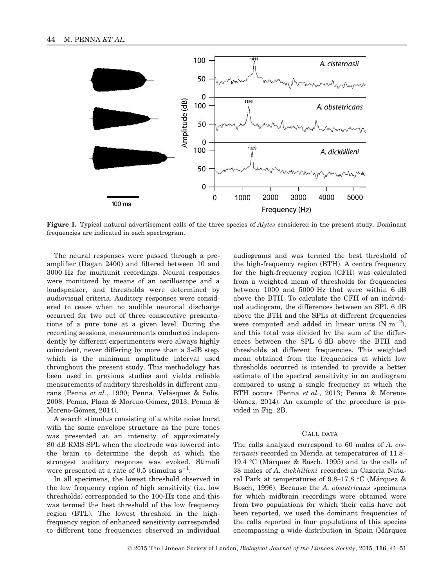

Figure 1. Typical natural advertisement calls of the three species of  $Alytes$  considered in the present study. Dominant frequencies are indicated in each spectrogram.

The neural responses were passed through a preamplifier (Dagan 2400) and filtered between 10 and 3000 Hz for multiunit recordings. Neural responses were monitored by means of an oscilloscope and a loudspeaker, and thresholds were determined by audiovisual criteria. Auditory responses were considered to cease when no audible neuronal discharge occurred for two out of three consecutive presentations of a pure tone at a given level. During the recording sessions, measurements conducted independently by different experimenters were always highly coincident, never differing by more than a 3-dB step, which is the minimum amplitude interval used throughout the present study. This methodology has been used in previous studies and yields reliable measurements of auditory thresholds in different anurans (Penna et al., 1990; Penna, Velásquez & Solís, 2008; Penna, Plaza & Moreno-Gómez, 2013; Penna & Moreno-Gómez, 2014).

A search stimulus consisting of a white noise burst with the same envelope structure as the pure tones was presented at an intensity of approximately 80 dB RMS SPL when the electrode was lowered into the brain to determine the depth at which the strongest auditory response was evoked. Stimuli were presented at a rate of 0.5 stimulus  $s^{-1}$ .

In all specimens, the lowest threshold observed in the low frequency region of high sensitivity (i.e. low thresholds) corresponded to the 100-Hz tone and this was termed the best threshold of the low frequency region (BTL). The lowest threshold in the highfrequency region of enhanced sensitivity corresponded to different tone frequencies observed in individual

audiograms and was termed the best threshold of the high-frequency region (BTH). A centre frequency for the high-frequency region (CFH) was calculated from a weighted mean of thresholds for frequencies between 1000 and 5000 Hz that were within 6 dB above the BTH. To calculate the CFH of an individual audiogram, the differences between an SPL 6 dB above the BTH and the SPLs at different frequencies were computed and added in linear units  $(N \text{ m}^{-2})$ , and this total was divided by the sum of the differences between the SPL 6 dB above the BTH and thresholds at different frequencies. This weighted mean obtained from the frequencies at which low thresholds occurred is intended to provide a better estimate of the spectral sensitivity in an audiogram compared to using a single frequency at which the BTH occurs (Penna et al., 2013; Penna & Moreno-Gómez, 2014). An example of the procedure is provided in Fig. 2B.

#### CALL DATA

The calls analyzed correspond to 60 males of A. cisternasii recorded in Mérida at temperatures of 11.8– 19.4 °C (Márquez & Bosch, 1995) and to the calls of 38 males of A. dickhilleni recorded in Cazorla Natural Park at temperatures of 9.8–17.8 °C (Márquez & Bosch, 1996). Because the A. obstetricans specimens for which midbrain recordings were obtained were from two populations for which their calls have not been reported, we used the dominant frequencies of the calls reported in four populations of this species encompassing a wide distribution in Spain (Márquez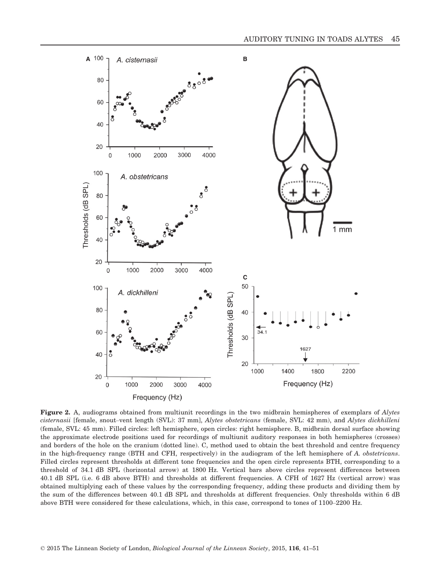

Figure 2. A, audiograms obtained from multiunit recordings in the two midbrain hemispheres of exemplars of Alytes cisternasii [female, snout–vent length (SVL): 37 mm], Alytes obstetricans (female, SVL: 42 mm), and Alytes dickhilleni (female, SVL: 45 mm). Filled circles: left hemisphere, open circles: right hemisphere. B, midbrain dorsal surface showing the approximate electrode positions used for recordings of multiunit auditory responses in both hemispheres (crosses) and borders of the hole on the cranium (dotted line). C, method used to obtain the best threshold and centre frequency in the high-frequency range (BTH and CFH, respectively) in the audiogram of the left hemisphere of A. obstetricans. Filled circles represent thresholds at different tone frequencies and the open circle represents BTH, corresponding to a threshold of 34.1 dB SPL (horizontal arrow) at 1800 Hz. Vertical bars above circles represent differences between 40.1 dB SPL (i.e. 6 dB above BTH) and thresholds at different frequencies. A CFH of 1627 Hz (vertical arrow) was obtained multiplying each of these values by the corresponding frequency, adding these products and dividing them by the sum of the differences between 40.1 dB SPL and thresholds at different frequencies. Only thresholds within 6 dB above BTH were considered for these calculations, which, in this case, correspond to tones of 1100–2200 Hz.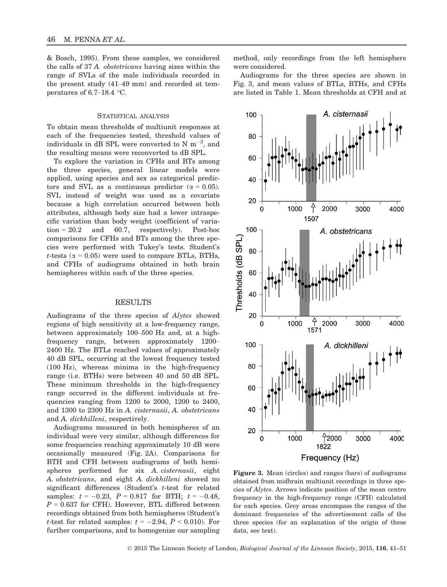& Bosch, 1995). From these samples, we considered the calls of 37 A. obstetricans having sizes within the range of SVLs of the male individuals recorded in the present study (41–49 mm) and recorded at temperatures of 6.7–18.4 °C.

#### STATISTICAL ANALYSIS

To obtain mean thresholds of multiunit responses at each of the frequencies tested, threshold values of individuals in dB SPL were converted to N  $\text{m}^{-2}$ , and the resulting means were reconverted to dB SPL.

To explore the variation in CFHs and BTs among the three species, general linear models were applied, using species and sex as categorical predictors and SVL as a continuous predictor ( $\alpha = 0.05$ ). SVL instead of weight was used as a covariate because a high correlation occurred between both attributes, although body size had a lower intraspecific variation than body weight (coefficient of variation =  $20.2$  and 60.7, respectively). Post-hoc comparisons for CFHs and BTs among the three species were performed with Tukey's tests. Student's *t*-tests ( $\alpha$  = 0.05) were used to compare BTLs, BTHs, and CFHs of audiograms obtained in both brain hemispheres within each of the three species.

#### RESULTS

Audiograms of the three species of Alytes showed regions of high sensitivity at a low-frequency range, between approximately 100–500 Hz and, at a highfrequency range, between approximately 1200– 2400 Hz. The BTLs reached values of approximately 40 dB SPL, occurring at the lowest frequency tested (100 Hz), whereas minima in the high-frequency range (i.e. BTHs) were between 40 and 50 dB SPL. These minimum thresholds in the high-frequency range occurred in the different individuals at frequencies ranging from 1200 to 2000, 1200 to 2400, and 1300 to 2300 Hz in A. cisternasii, A. obstetricans and A. dickhilleni, respectively.

Audiograms measured in both hemispheres of an individual were very similar, although differences for some frequencies reaching approximately 10 dB were occasionally measured (Fig. 2A). Comparisons for BTH and CFH between audiograms of both hemispheres performed for six A. cisternasii, eight A. obstetricans, and eight A. dickhilleni showed no significant differences (Student's t-test for related samples:  $t = -0.23$ ,  $P = 0.817$  for BTH;  $t = -0.48$ ,  $P = 0.637$  for CFH). However, BTL differed between recordings obtained from both hemispheres (Student's t-test for related samples:  $t = -2.94, P < 0.010$ . For further comparisons, and to homogenize our sampling method, only recordings from the left hemisphere were considered.

Audiograms for the three species are shown in Fig. 3, and mean values of BTLs, BTHs, and CFHs are listed in Table 1. Mean thresholds at CFH and at



Figure 3. Mean (circles) and ranges (bars) of audiograms obtained from midbrain multiunit recordings in three species of Alytes. Arrows indicate position of the mean centre frequency in the high-frequency range (CFH) calculated for each species. Grey areas encompass the ranges of the dominant frequencies of the advertisement calls of the three species (for an explanation of the origin of these data, see text).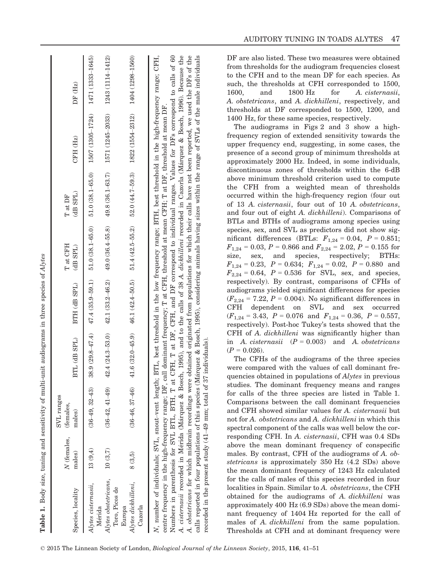| Species, locality                        | N (females, (females,<br>males) | SVL ranges<br>males) | BTL (dB SPL)        | BTH (dB SPL)                                          | T at CFH<br>(dB SPL) | (dB SPL)<br>T at DF | CFH (Hz)                                                                                  | DF (Hz)          |
|------------------------------------------|---------------------------------|----------------------|---------------------|-------------------------------------------------------|----------------------|---------------------|-------------------------------------------------------------------------------------------|------------------|
| Alytes cisternasii,<br>Mérida            | 13(9,4)                         | $(36-49, 32-43)$     |                     |                                                       |                      |                     | $38.9(29.8-47.4)$ $47.4(35.9-59.1)$ $51.0(38.1-65.0)$ $51.0(38.1-65.0)$ $1507(1305-1724)$ | 1471 (1333-1645) |
| Alytes obstetricans,<br>Toro, Picos de   | 10(3,7)                         | $(36-42, 41-49)$     | $42.4(24.3 - 53.0)$ | $42.1(33.2 - 46.2)$                                   | $49.0(36.4 - 55.8)$  | 49.8 (36.1–63.7)    | 1571 (1245-2033)                                                                          | 1243 (1114-1412) |
| Alytes dickhilleni,<br>Cazorla<br>Europa | 8(3.5)                          | $(36-46, 37-46)$     |                     | $41.6(32.0-45.9)$ $46.1(42.4-50.5)$ $51.4(42.5-55.2)$ |                      | $52.0(44.7 - 59.3)$ | 1822 (1554-2312)                                                                          | 1404 (1298-1560) |

obstetricans for which midbrain recordings were obtained originated from populations for which their calls have not been reported, we used the DFs of the Numbers in parenthesis for SVL BTL, BTH, T at CFH, T at DF, CFH, and DF correspond to individual ranges. Values for DFs correspond to calls of 60 A. cisternasii recorded in Mérida (Márquez & Bosch, 1995), and to the calls of 38 A. dickhilleni recorded in Cazorla (Márquez & Bosch, 1996). Because the Numbers in parenthesis for SVL BTL, BTH, T at CFH, T at DF, CFH, and DF correspond to individual ranges. Values for DFs correspond to calls of 60 A. cisternasii recorded in Merida (Marquez & Bosch, 1995), and to the calls of 38 A. dickhilleni recorded in Cazorla (Marquez & Bosch, 1996). Because the A. obstetricans for which midbrain recordings were obtained originated from populations for which their calls have not been reported, we used the DFs of the calls reported in four populations of this species (Marquez & Bosch, 1995), considering animals having sizes within the range of SVLs of the male individuals calls reported in four populations of this species (Márquez & Bosch, 1995), considering animals having sizes within the range of SVLs of recorded in the present study (41–49 mm; total of 37 individuals). recorded in the present study  $(41-49$  mm; total of 37 individuals)  $\overline{A}$ 

the male individuals

DF are also listed. These two measures were obtained from thresholds for the audiogram frequencies closest to the CFH and to the mean DF for each species. As such, the thresholds at CFH corresponded to 1500, 1600, and 1800 Hz for A. cisternasii, A. obstetricans, and A. dickhilleni, respectively, and thresholds at DF corresponded to 1500, 1200, and 1400 Hz, for these same species, respectively.

The audiograms in Figs 2 and 3 show a highfrequency region of extended sensitivity towards the upper frequency end, suggesting, in some cases, the presence of a second group of minimum thresholds at approximately 2000 Hz. Indeed, in some individuals, discontinuous zones of thresholds within the 6-dB above minimum threshold criterion used to compute the CFH from a weighted mean of thresholds occurred within the high-frequency region (four out of 13 A. cisternasii, four out of 10 A. obstetricans, and four out of eight A. dickhilleni). Comparisons of BTLs and BTHs of audiograms among species using species, sex, and SVL as predictors did not show significant differences (BTLs:  $F_{1,24} = 0.04$ ,  $P = 0.851$ ;  $F_{1,24} = 0.03, P = 0.866$  and  $F_{2,24} = 2.02, P = 0.155$  for size, sex, and species, respectively; BTHs:  $F_{1,24} = 0.23$ ,  $P = 0.634$ ;  $F_{1,24} = 0.02$ ,  $P = 0.880$  and  $F_{2,24} = 0.64$ ,  $P = 0.536$  for SVL, sex, and species, respectively). By contrast, comparisons of CFHs of audiograms yielded significant differences for species  $(F_{2,24} = 7.22, P = 0.004)$ . No significant differences in CFH dependent on SVL and sex occurred  $(F_{1,24} = 3.43, P = 0.076 \text{ and } F_{1,24} = 0.36, P = 0.557,$ respectively). Post-hoc Tukey's tests showed that the CFH of A. dickhilleni was significantly higher than in A. cisternasii  $(P = 0.003)$  and A. obstetricans  $(P = 0.026)$ .

The CFHs of the audiograms of the three species were compared with the values of call dominant frequencies obtained in populations of Alytes in previous studies. The dominant frequency means and ranges for calls of the three species are listed in Table 1. Comparisons between the call dominant frequencies and CFH showed similar values for A. cisternasii but not for A. obstetricans and A. dickhilleni in which this spectral component of the calls was well below the corresponding CFH. In A. cisternasii, CFH was 0.4 SDs above the mean dominant frequency of conspecific males. By contrast, CFH of the audiograms of A. obstetricans is approximately 350 Hz (4.2 SDs) above the mean dominant frequency of 1243 Hz calculated for the calls of males of this species recorded in four localities in Spain. Similar to A. obstetricans, the CFH obtained for the audiograms of A. dickhilleni was approximately 400 Hz (6.9 SDs) above the mean dominant frequency of 1404 Hz reported for the call of males of A. dickhilleni from the same population. Thresholds at CFH and at dominant frequency were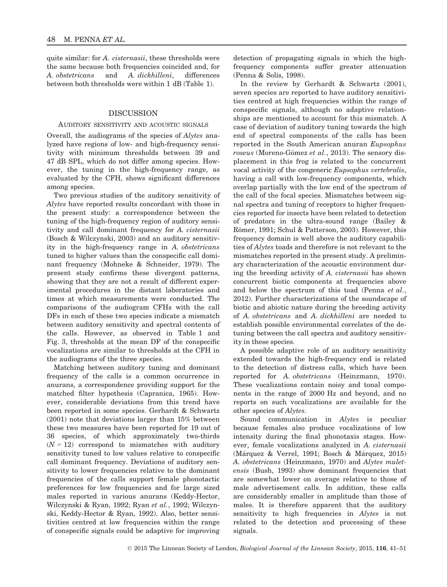quite similar: for A. *cisternasii*, these thresholds were the same because both frequencies coincided and, for A. obstetricans and A. dickhilleni, differences between both thresholds were within 1 dB (Table 1).

# DISCUSSION

#### AUDITORY SENSITIVITY AND ACOUSTIC SIGNALS

Overall, the audiograms of the species of Alytes analyzed have regions of low- and high-frequency sensitivity with minimum thresholds between 39 and 47 dB SPL, which do not differ among species. However, the tuning in the high-frequency range, as evaluated by the CFH, shows significant differences among species.

Two previous studies of the auditory sensitivity of Alytes have reported results concordant with those in the present study: a correspondence between the tuning of the high-frequency region of auditory sensitivity and call dominant frequency for A. cisternasii (Bosch & Wilczynski, 2003) and an auditory sensitivity in the high-frequency range in A. obstetricans tuned to higher values than the conspecific call dominant frequency (Mohneke & Schneider, 1979). The present study confirms these divergent patterns, showing that they are not a result of different experimental procedures in the distant laboratories and times at which measurements were conducted. The comparisons of the audiogram CFHs with the call DFs in each of these two species indicate a mismatch between auditory sensitivity and spectral contents of the calls. However, as observed in Table 1 and Fig. 3, thresholds at the mean DF of the conspecific vocalizations are similar to thresholds at the CFH in the audiograms of the three species.

Matching between auditory tuning and dominant frequency of the calls is a common occurrence in anurans, a correspondence providing support for the matched filter hypothesis (Capranica, 1965). However, considerable deviations from this trend have been reported in some species. Gerhardt & Schwartz (2001) note that deviations larger than 15% between these two measures have been reported for 19 out of 36 species, of which approximately two-thirds  $(N = 12)$  correspond to mismatches with auditory sensitivity tuned to low values relative to conspecific call dominant frequency. Deviations of auditory sensitivity to lower frequencies relative to the dominant frequencies of the calls support female phonotactic preferences for low frequencies and for large sized males reported in various anurans (Keddy-Hector, Wilczynski & Ryan, 1992; Ryan et al., 1992; Wilczynski, Keddy-Hector & Ryan, 1992). Also, better sensitivities centred at low frequencies within the range of conspecific signals could be adaptive for improving detection of propagating signals in which the highfrequency components suffer greater attenuation (Penna & Solís, 1998).

In the review by Gerhardt & Schwartz (2001), seven species are reported to have auditory sensitivities centred at high frequencies within the range of conspecific signals, although no adaptive relationships are mentioned to account for this mismatch. A case of deviation of auditory tuning towards the high end of spectral components of the calls has been reported in the South American anuran Eupsophus roseus (Moreno-Gómez et al., 2013). The sensory displacement in this frog is related to the concurrent vocal activity of the congeneric Eupsophus vertebralis, having a call with low-frequency components, which overlap partially with the low end of the spectrum of the call of the focal species. Mismatches between signal spectra and tuning of receptors to higher frequencies reported for insects have been related to detection of predators in the ultra-sound range (Bailey & Römer, 1991; Schul & Patterson, 2003). However, this frequency domain is well above the auditory capabilities of Alytes toads and therefore is not relevant to the mismatches reported in the present study. A preliminary characterization of the acoustic environment during the breeding activity of A. cisternasii has shown concurrent biotic components at frequencies above and below the spectrum of this toad (Penna et al., 2012). Further characterizations of the soundscape of biotic and abiotic nature during the breeding activity of A. obstetricans and A. dickhilleni are needed to establish possible environmental correlates of the detuning between the call spectra and auditory sensitivity in these species.

A possible adaptive role of an auditory sensitivity extended towards the high-frequency end is related to the detection of distress calls, which have been reported for A. obstetricans (Heinzmann, 1970). These vocalizations contain noisy and tonal components in the range of 2000 Hz and beyond, and no reports on such vocalizations are available for the other species of Alytes.

Sound communication in Alytes is peculiar because females also produce vocalizations of low intensity during the final phonotaxis stages. However, female vocalizations analyzed in A. cisternasii (Márquez & Verrel, 1991; Bosch & Márquez, 2015) A. obstetricans (Heinzmann, 1970) and Alytes muletensis (Bush, 1993) show dominant frequencies that are somewhat lower on average relative to those of male advertisement calls. In addition, these calls are considerably smaller in amplitude than those of males. It is therefore apparent that the auditory sensitivity to high frequencies in Alytes is not related to the detection and processing of these signals.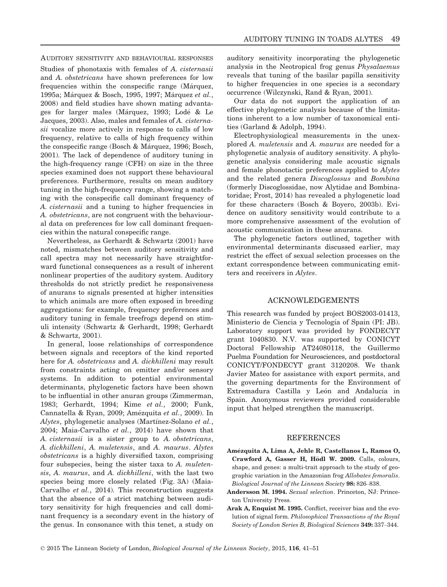AUDITORY SENSITIVITY AND BEHAVIOURAL RESPONSES Studies of phonotaxis with females of A. cisternasii and A. obstetricans have shown preferences for low frequencies within the conspecific range (Márquez, 1995a; Márquez & Bosch, 1995, 1997; Márquez et al., 2008) and field studies have shown mating advantages for larger males (Márquez, 1993; Lodé & Le Jacques, 2003). Also, males and females of A. cisternasii vocalize more actively in response to calls of low frequency, relative to calls of high frequency within the conspecific range (Bosch & Marquez, 1996; Bosch, 2001). The lack of dependence of auditory tuning in the high-frequency range (CFH) on size in the three species examined does not support these behavioural preferences. Furthermore, results on mean auditory tuning in the high-frequency range, showing a matching with the conspecific call dominant frequency of A. cisternasii and a tuning to higher frequencies in A. obstetricans, are not congruent with the behavioural data on preferences for low call dominant frequencies within the natural conspecific range.

Nevertheless, as Gerhardt & Schwartz (2001) have noted, mismatches between auditory sensitivity and call spectra may not necessarily have straightforward functional consequences as a result of inherent nonlinear properties of the auditory system. Auditory thresholds do not strictly predict he responsiveness of anurans to signals presented at higher intensities to which animals are more often exposed in breeding aggregations: for example, frequency preferences and auditory tuning in female treefrogs depend on stimuli intensity (Schwartz & Gerhardt, 1998; Gerhardt & Schwartz, 2001).

In general, loose relationships of correspondence between signals and receptors of the kind reported here for A. obstetricans and A. dickhilleni may result from constraints acting on emitter and/or sensory systems. In addition to potential environmental determinants, phylogenetic factors have been shown to be influential in other anuran groups (Zimmerman, 1983; Gerhardt, 1994; Kime et al., 2000; Funk, Cannatella & Ryan, 2009; Amezquita et al., 2009). In Alytes, phylogenetic analyses (Martínez-Solano et al., 2004; Maia-Carvalho et al., 2014) have shown that A. cisternasii is a sister group to A. obstetricans, A. dickhilleni, A. muletensis, and A. maurus. Alytes obstetricans is a highly diversified taxon, comprising four subspecies, being the sister taxa to A. muletensis, A. maurus, and A. dickhilleni, with the last two species being more closely related (Fig. 3A) (Maia-Carvalho et al., 2014). This reconstruction suggests that the absence of a strict matching between auditory sensitivity for high frequencies and call dominant frequency is a secondary event in the history of the genus. In consonance with this tenet, a study on auditory sensitivity incorporating the phylogenetic analysis in the Neotropical frog genus Physalaemus reveals that tuning of the basilar papilla sensitivity to higher frequencies in one species is a secondary occurrence (Wilczynski, Rand & Ryan, 2001).

Our data do not support the application of an effective phylogenetic analysis because of the limitations inherent to a low number of taxonomical entities (Garland & Adolph, 1994).

Electrophysiological measurements in the unexplored A. muletensis and A. maurus are needed for a phylogenetic analysis of auditory sensitivity. A phylogenetic analysis considering male acoustic signals and female phonotactic preferences applied to Alytes and the related genera Discoglossus and Bombina (formerly Discoglossidae, now Alytidae and Bombinatoridae; Frost, 2014) has revealed a phylogenetic load for these characters (Bosch & Boyero, 2003b). Evidence on auditory sensitivity would contribute to a more comprehensive assessment of the evolution of acoustic communication in these anurans.

The phylogenetic factors outlined, together with environmental determinants discussed earlier, may restrict the effect of sexual selection processes on the extant correspondence between communicating emitters and receivers in Alytes.

## ACKNOWLEDGEMENTS

This research was funded by project BOS2003-01413, Ministerio de Ciencia y Tecnologıa of Spain (PI: JB). Laboratory support was provided by FONDECYT grant 1040830. N.V. was supported by CONICYT Doctoral Fellowship AT24080118, the Guillermo Puelma Foundation for Neurosciences, and postdoctoral CONICYT/FONDECYT grant 3120208. We thank Javier Mateo for assistance with export permits, and the governing departments for the Environment of Extremadura Castilla y León and Andalucía in Spain. Anonymous reviewers provided considerable input that helped strengthen the manuscript.

#### **REFERENCES**

- Amezquita A, Lima A, Jehle R, Castellanos L, Ramos O, Crawford A, Gasser H, Hödl W. 2009. Calls, colours, shape, and genes: a multi-trait approach to the study of geographic variation in the Amazonian frog Allobates femoralis. Biological Journal of the Linnean Society 98: 826–838.
- Andersson M. 1994. Sexual selection. Princeton, NJ: Princeton University Press.
- Arak A, Enquist M. 1995. Conflict, receiver bias and the evolution of signal form. Philosophical Transactions of the Royal Society of London Series B, Biological Sciences 349: 337–344.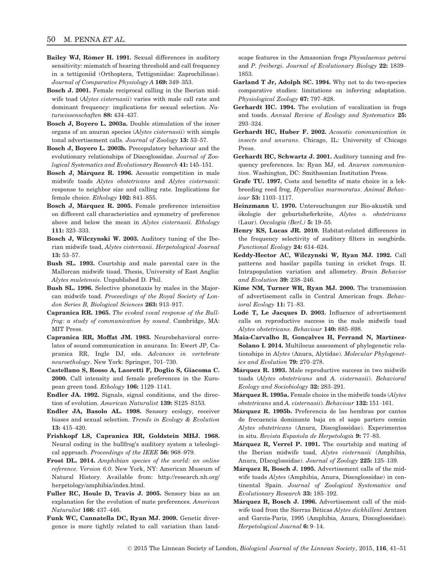- Bailey WJ, Römer H. 1991. Sexual differences in auditory sensitivity: mismatch of hearing threshold and call frequency in a tettigoniid (Orthoptera, Tettigoniidae: Zaprochilinae). Journal of Comparative Physiology A 169: 349–353.
- Bosch J. 2001. Female reciprocal calling in the Iberian midwife toad (Alytes cisternasii) varies with male call rate and dominant frequency: implications for sexual selection. Naturwissenschaften 88: 434–437.
- Bosch J, Boyero L. 2003a. Double stimulation of the inner organs of an anuran species (Alytes cisternasii) with simple tonal advertisement calls. Journal of Zoology 13: 53–57.
- Bosch J, Boyero L. 2003b. Precopulatory behaviour and the evolutionary relationships of Discoglossidae. Journal of Zoological Systematics and Evolutionary Research 41: 145–151.
- Bosch J, Márquez R. 1996. Acoustic competition in male midwife toads Alytes obstetricans and Alytes cisternasii: response to neighbor size and calling rate. Implications for female choice. Ethology 102: 841–855.
- Bosch J, Marquez R. 2005. Female preference intensities on different call characteristics and symmetry of preference above and below the mean in Alytes cisternasii. Ethology 111: 323–333.
- Bosch J, Wilczynski W. 2003. Auditory tuning of the Iberian midwife toad, Alytes cisternasii. Herpetological Journal 13: 53–57.
- Bush SL. 1993. Courtship and male parental care in the Mallorcan midwife tioad. Thesis, University of East Anglia: Alytes muletensis. Unpublished D. Phil.
- Bush SL. 1996. Selective phonotaxis by males in the Majorcan midwife toad. Proceedings of the Royal Society of London Series B, Biological Sciences 263: 913–917.
- Capranica RR. 1965. The evoked vocal response of the Bullfrog: a study of communication by sound. Cambridge, MA: MIT Press.
- Capranica RR, Moffat JM. 1983. Neurobehavioral correlates of sound communication in anurans. In: Ewert JP, Capranica RR, Ingle DJ, eds. Advances in vertebrate neuroethology. New York: Springer, 701–730.
- Castellano S, Rosso A, Laoretti F, Doglio S, Giacoma C. 2000. Call intensity and female preferences in the European green toad. Ethology 106: 1129–1141.
- Endler JA. 1992. Signals, signal conditions, and the direction of evolution. American Naturalist 139: S125-S153.
- Endler JA, Basolo AL. 1998. Sensory ecology, receiver biases and sexual selection. Trends in Ecology & Evolution 13: 415–420.
- Frishkopf LS, Capranica RR, Goldstein MHJ. 1968. Neural coding in the bullfrog's auditory system a teleological approach. Proceedings of the IEEE 56: 968–979.
- Frost DL. 2014. Amphibian species of the world: an online reference. Version 6.0. New York, NY: American Museum of Natural History. Available from: [http://research.nh.org/](http://research.nh.org/herpetology/amphibia/index.html) [herpetology/amphibia/index.html](http://research.nh.org/herpetology/amphibia/index.html).
- Fuller RC, Houle D, Travis J. 2005. Sensory bias as an explanation for the evolution of mate preferences. American Naturalist 166: 437–446.
- Funk WC, Cannatella DC, Ryan MJ. 2009. Genetic divergence is more tightly related to call variation than land-

scape features in the Amazonian frogs Physalaemus petersi and P. freibergi. Journal of Evolutionary Biology 22: 1839– 1853.

- Garland T Jr, Adolph SC. 1994. Why not to do two-species comparative studies: limitations on inferring adaptation. Physiological Zoology 67: 797–828.
- Gerhardt HC. 1994. The evolution of vocalization in frogs and toads. Annual Review of Ecology and Systematics 25: 293–324.
- Gerhardt HC, Huber F. 2002. Acoustic communication in insects and anurans. Chicago, IL: University of Chicago Press.
- Gerhardt HC, Schwartz J. 2001. Auditory tunning and frequency preferences. In: Ryan MJ, ed. Anuran communication. Washington, DC: Smithsonian Institution Press.
- Grafe TU. 1997. Costs and benefits of mate choice in a lekbreeding reed frog, Hyperolius marmoratus. Animal Behaviour 53: 1103–1117.
- Heinzmann U. 1970. Untersuchungen zur Bio-akustik und ökologie der geburtsheferkröte, Alytes o. obstetricans (Laur). Oecologia (Berl.) 5: 19–55.
- Henry KS, Lucas JR. 2010. Habitat-related differences in the frequency selectivity of auditory filters in songbirds. Functional Ecology 24: 614–624.
- Keddy-Hector AC, Wilczynski W, Ryan MJ. 1992. Call patterns and basilar papilla tuning in cricket frogs. II. Intrapopulation variation and allometry. Brain Behavior and Evolution 39: 238–246.
- Kime NM, Turner WR, Ryan MJ. 2000. The transmission of advertisement calls in Central American frogs. Behavioral Ecology 11: 71–83.
- Lode T, Le Jacques D. 2003. Influence of advertisement calls on reproductive success in the male midwife toad Alytes obstetricans. Behaviour 140: 885–898.
- Maia-Carvalho B, Gonçalves H, Ferrand N, Martínez-Solano I. 2014. Multilocus assessment of phylogenetic relationships in Alytes (Anura, Alytidae). Molecular Phylogenetics and Evolution 79: 270–278.
- Márquez R. 1993. Male reproductive success in two midwife toads (Alytes obstetricans and A. cisternasii). Behavioral Ecology and Sociobiology 32: 283–291.
- Márquez R. 1995a. Female choice in the midwife toads (Alytes obstetricans and A. cisternasii). Behaviour 132: 151–161.
- Marquez R. 1995b. Preferencia de las hembras por cantos de frecuencia dominante baja en el sapo partero común Alytes obstetricans (Anura, Discoglossidae). Experimentos in situ. Revista Española de Herpetología 9: 77–83.
- Marquez R, Verrel P. 1991. The courtship and mating of the Iberian midwife toad, Alytes cisternasii (Amphibia, Anura, DIscoglossidae). Journal of Zoology 225: 125–139.
- Márquez R, Bosch J. 1995. Advertisement calls of the midwife toads Alytes (Amphibia, Anura, Discoglossidae) in continental Spain. Journal of Zoological Systematics and Evolutionary Research 33: 185–192.
- Márquez R, Bosch J. 1996. Advertisement call of the midwife toad from the Sierras Béticas Alytes dickhilleni Arntzen and García-Paris, 1995 (Amphibia, Anura, Discoglossidae). Herpetological Journal 6: 9–14.